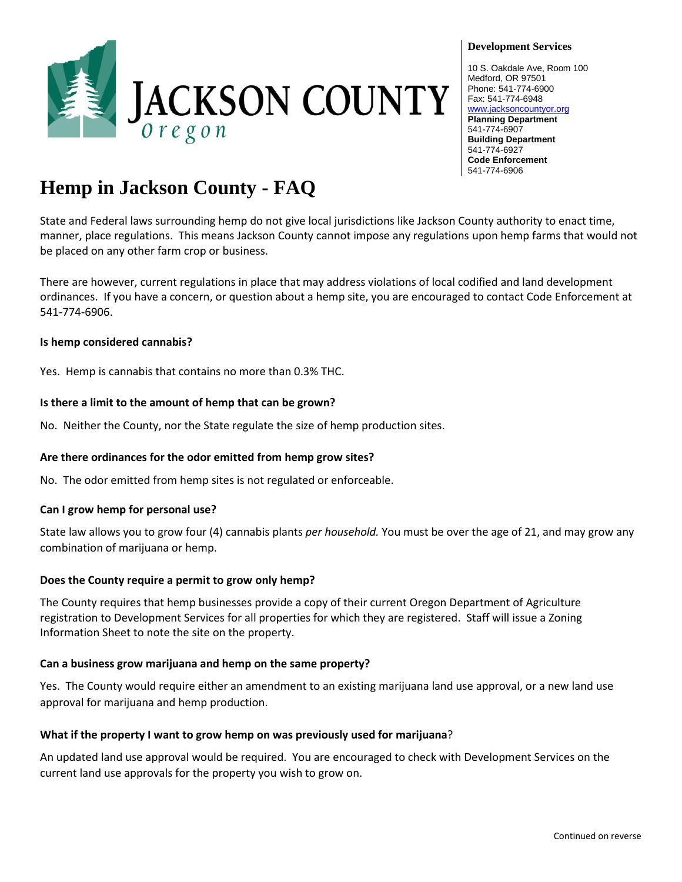

#### **Development Services**

10 S. Oakdale Ave, Room 100 Medford, OR 97501 Phone: 541-774-6900 Fax: 541-774-6948 [www.jacksoncountyor.org](http://www.jacksoncountyor.org/) **Planning Department** 541-774-6907 **Building Department** 541-774-6927 **Code Enforcement** 541-774-6906

# **Hemp in Jackson County - FAQ**

State and Federal laws surrounding hemp do not give local jurisdictions like Jackson County authority to enact time, manner, place regulations. This means Jackson County cannot impose any regulations upon hemp farms that would not be placed on any other farm crop or business.

There are however, current regulations in place that may address violations of local codified and land development ordinances. If you have a concern, or question about a hemp site, you are encouraged to contact Code Enforcement at 541-774-6906.

#### **Is hemp considered cannabis?**

Yes. Hemp is cannabis that contains no more than 0.3% THC.

#### **Is there a limit to the amount of hemp that can be grown?**

No. Neither the County, nor the State regulate the size of hemp production sites.

#### **Are there ordinances for the odor emitted from hemp grow sites?**

No. The odor emitted from hemp sites is not regulated or enforceable.

#### **Can I grow hemp for personal use?**

State law allows you to grow four (4) cannabis plants *per household.* You must be over the age of 21, and may grow any combination of marijuana or hemp.

#### **Does the County require a permit to grow only hemp?**

The County requires that hemp businesses provide a copy of their current Oregon Department of Agriculture registration to Development Services for all properties for which they are registered. Staff will issue a Zoning Information Sheet to note the site on the property.

#### **Can a business grow marijuana and hemp on the same property?**

Yes. The County would require either an amendment to an existing marijuana land use approval, or a new land use approval for marijuana and hemp production.

#### **What if the property I want to grow hemp on was previously used for marijuana**?

An updated land use approval would be required. You are encouraged to check with Development Services on the current land use approvals for the property you wish to grow on.